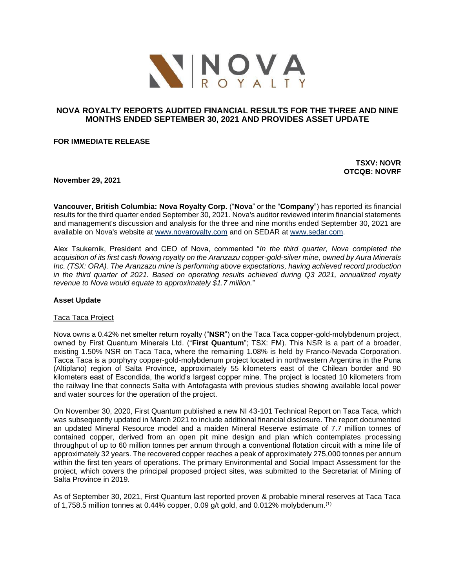

# **NOVA ROYALTY REPORTS AUDITED FINANCIAL RESULTS FOR THE THREE AND NINE MONTHS ENDED SEPTEMBER 30, 2021 AND PROVIDES ASSET UPDATE**

**FOR IMMEDIATE RELEASE** 

**TSXV: NOVR OTCQB: NOVRF**

**November 29, 2021**

**Vancouver, British Columbia: Nova Royalty Corp.** ("**Nova**" or the "**Company**") has reported its financial results for the third quarter ended September 30, 2021. Nova's auditor reviewed interim financial statements and management's discussion and analysis for the three and nine months ended September 30, 2021 are available on Nova's website at [www.novaroyalty.com](http://www.novaroyalty.com/) and on SEDAR at [www.sedar.com.](http://www.sedar.com/)

Alex Tsukernik, President and CEO of Nova, commented "*In the third quarter, Nova completed the acquisition of its first cash flowing royalty on the Aranzazu copper-gold-silver mine, owned by Aura Minerals Inc. (TSX: ORA). The Aranzazu mine is performing above expectations, having achieved record production in the third quarter of 2021. Based on operating results achieved during Q3 2021, annualized royalty revenue to Nova would equate to approximately \$1.7 million.*"

## **Asset Update**

#### Taca Taca Project

Nova owns a 0.42% net smelter return royalty ("**NSR**") on the Taca Taca copper-gold-molybdenum project, owned by First Quantum Minerals Ltd. ("**First Quantum**"; TSX: FM). This NSR is a part of a broader, existing 1.50% NSR on Taca Taca, where the remaining 1.08% is held by Franco-Nevada Corporation. Tacca Taca is a porphyry copper-gold-molybdenum project located in northwestern Argentina in the Puna (Altiplano) region of Salta Province, approximately 55 kilometers east of the Chilean border and 90 kilometers east of Escondida, the world's largest copper mine. The project is located 10 kilometers from the railway line that connects Salta with Antofagasta with previous studies showing available local power and water sources for the operation of the project.

On November 30, 2020, First Quantum published a new NI 43-101 Technical Report on Taca Taca, which was subsequently updated in March 2021 to include additional financial disclosure. The report documented an updated Mineral Resource model and a maiden Mineral Reserve estimate of 7.7 million tonnes of contained copper, derived from an open pit mine design and plan which contemplates processing throughput of up to 60 million tonnes per annum through a conventional flotation circuit with a mine life of approximately 32 years. The recovered copper reaches a peak of approximately 275,000 tonnes per annum within the first ten years of operations. The primary Environmental and Social Impact Assessment for the project, which covers the principal proposed project sites, was submitted to the Secretariat of Mining of Salta Province in 2019.

As of September 30, 2021, First Quantum last reported proven & probable mineral reserves at Taca Taca of 1,758.5 million tonnes at 0.44% copper, 0.09 g/t gold, and 0.012% molybdenum.(1)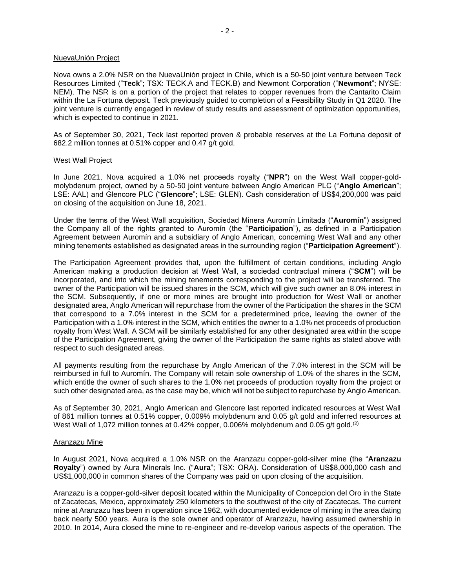#### NuevaUnión Project

Nova owns a 2.0% NSR on the NuevaUnión project in Chile, which is a 50-50 joint venture between Teck Resources Limited ("**Teck**"; TSX: TECK.A and TECK.B) and Newmont Corporation ("**Newmont**"; NYSE: NEM). The NSR is on a portion of the project that relates to copper revenues from the Cantarito Claim within the La Fortuna deposit. Teck previously guided to completion of a Feasibility Study in Q1 2020. The joint venture is currently engaged in review of study results and assessment of optimization opportunities, which is expected to continue in 2021.

As of September 30, 2021, Teck last reported proven & probable reserves at the La Fortuna deposit of 682.2 million tonnes at 0.51% copper and 0.47 g/t gold.

#### West Wall Project

In June 2021, Nova acquired a 1.0% net proceeds royalty ("**NPR**") on the West Wall copper-goldmolybdenum project, owned by a 50-50 joint venture between Anglo American PLC ("**Anglo American**"; LSE: AAL) and Glencore PLC ("**Glencore**"; LSE: GLEN). Cash consideration of US\$4,200,000 was paid on closing of the acquisition on June 18, 2021.

Under the terms of the West Wall acquisition, Sociedad Minera Auromín Limitada ("**Auromín**") assigned the Company all of the rights granted to Auromín (the "**Participation**"), as defined in a Participation Agreement between Auromín and a subsidiary of Anglo American, concerning West Wall and any other mining tenements established as designated areas in the surrounding region ("**Participation Agreement**").

The Participation Agreement provides that, upon the fulfillment of certain conditions, including Anglo American making a production decision at West Wall, a sociedad contractual minera ("**SCM**") will be incorporated, and into which the mining tenements corresponding to the project will be transferred. The owner of the Participation will be issued shares in the SCM, which will give such owner an 8.0% interest in the SCM. Subsequently, if one or more mines are brought into production for West Wall or another designated area, Anglo American will repurchase from the owner of the Participation the shares in the SCM that correspond to a 7.0% interest in the SCM for a predetermined price, leaving the owner of the Participation with a 1.0% interest in the SCM, which entitles the owner to a 1.0% net proceeds of production royalty from West Wall. A SCM will be similarly established for any other designated area within the scope of the Participation Agreement, giving the owner of the Participation the same rights as stated above with respect to such designated areas.

All payments resulting from the repurchase by Anglo American of the 7.0% interest in the SCM will be reimbursed in full to Auromín. The Company will retain sole ownership of 1.0% of the shares in the SCM, which entitle the owner of such shares to the 1.0% net proceeds of production royalty from the project or such other designated area, as the case may be, which will not be subject to repurchase by Anglo American.

As of September 30, 2021, Anglo American and Glencore last reported indicated resources at West Wall of 861 million tonnes at 0.51% copper, 0.009% molybdenum and 0.05 g/t gold and inferred resources at West Wall of 1,072 million tonnes at 0.42% copper, 0.006% molybdenum and 0.05 g/t gold.<sup>(2)</sup>

#### Aranzazu Mine

In August 2021, Nova acquired a 1.0% NSR on the Aranzazu copper-gold-silver mine (the "**Aranzazu Royalty**") owned by Aura Minerals Inc. ("**Aura**"; TSX: ORA). Consideration of US\$8,000,000 cash and US\$1,000,000 in common shares of the Company was paid on upon closing of the acquisition.

Aranzazu is a copper-gold-silver deposit located within the Municipality of Concepcion del Oro in the State of Zacatecas, Mexico, approximately 250 kilometers to the southwest of the city of Zacatecas. The current mine at Aranzazu has been in operation since 1962, with documented evidence of mining in the area dating back nearly 500 years. Aura is the sole owner and operator of Aranzazu, having assumed ownership in 2010. In 2014, Aura closed the mine to re-engineer and re-develop various aspects of the operation. The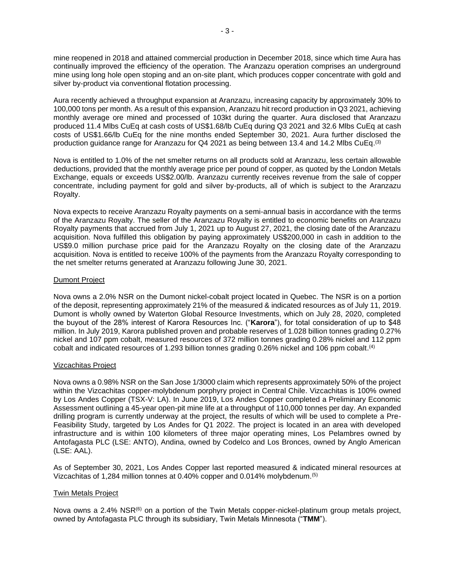mine reopened in 2018 and attained commercial production in December 2018, since which time Aura has continually improved the efficiency of the operation. The Aranzazu operation comprises an underground mine using long hole open stoping and an on-site plant, which produces copper concentrate with gold and silver by-product via conventional flotation processing.

Aura recently achieved a throughput expansion at Aranzazu, increasing capacity by approximately 30% to 100,000 tons per month. As a result of this expansion, Aranzazu hit record production in Q3 2021, achieving monthly average ore mined and processed of 103kt during the quarter. Aura disclosed that Aranzazu produced 11.4 Mlbs CuEq at cash costs of US\$1.68/lb CuEq during Q3 2021 and 32.6 Mlbs CuEq at cash costs of US\$1.66/lb CuEq for the nine months ended September 30, 2021. Aura further disclosed the production guidance range for Aranzazu for Q4 2021 as being between 13.4 and 14.2 Mlbs CuEq.<sup>(3)</sup>

Nova is entitled to 1.0% of the net smelter returns on all products sold at Aranzazu, less certain allowable deductions, provided that the monthly average price per pound of copper, as quoted by the London Metals Exchange, equals or exceeds US\$2.00/lb. Aranzazu currently receives revenue from the sale of copper concentrate, including payment for gold and silver by-products, all of which is subject to the Aranzazu Royalty.

Nova expects to receive Aranzazu Royalty payments on a semi-annual basis in accordance with the terms of the Aranzazu Royalty. The seller of the Aranzazu Royalty is entitled to economic benefits on Aranzazu Royalty payments that accrued from July 1, 2021 up to August 27, 2021, the closing date of the Aranzazu acquisition. Nova fulfilled this obligation by paying approximately US\$200,000 in cash in addition to the US\$9.0 million purchase price paid for the Aranzazu Royalty on the closing date of the Aranzazu acquisition. Nova is entitled to receive 100% of the payments from the Aranzazu Royalty corresponding to the net smelter returns generated at Aranzazu following June 30, 2021.

## Dumont Project

Nova owns a 2.0% NSR on the Dumont nickel-cobalt project located in Quebec. The NSR is on a portion of the deposit, representing approximately 21% of the measured & indicated resources as of July 11, 2019. Dumont is wholly owned by Waterton Global Resource Investments, which on July 28, 2020, completed the buyout of the 28% interest of Karora Resources Inc. ("**Karora**"), for total consideration of up to \$48 million. In July 2019, Karora published proven and probable reserves of 1.028 billion tonnes grading 0.27% nickel and 107 ppm cobalt, measured resources of 372 million tonnes grading 0.28% nickel and 112 ppm cobalt and indicated resources of 1.293 billion tonnes grading 0.26% nickel and 106 ppm cobalt. (4)

## Vizcachitas Project

Nova owns a 0.98% NSR on the San Jose 1/3000 claim which represents approximately 50% of the project within the Vizcachitas copper-molybdenum porphyry project in Central Chile. Vizcachitas is 100% owned by Los Andes Copper (TSX-V: LA). In June 2019, Los Andes Copper completed a Preliminary Economic Assessment outlining a 45-year open-pit mine life at a throughput of 110,000 tonnes per day. An expanded drilling program is currently underway at the project, the results of which will be used to complete a Pre-Feasibility Study, targeted by Los Andes for Q1 2022. The project is located in an area with developed infrastructure and is within 100 kilometers of three major operating mines, Los Pelambres owned by Antofagasta PLC (LSE: ANTO), Andina, owned by Codelco and Los Bronces, owned by Anglo American (LSE: AAL).

As of September 30, 2021, Los Andes Copper last reported measured & indicated mineral resources at Vizcachitas of 1,284 million tonnes at 0.40% copper and 0.014% molybdenum.(5)

## Twin Metals Project

Nova owns a 2.4% NSR<sup>(6)</sup> on a portion of the Twin Metals copper-nickel-platinum group metals project, owned by Antofagasta PLC through its subsidiary, Twin Metals Minnesota ("**TMM**").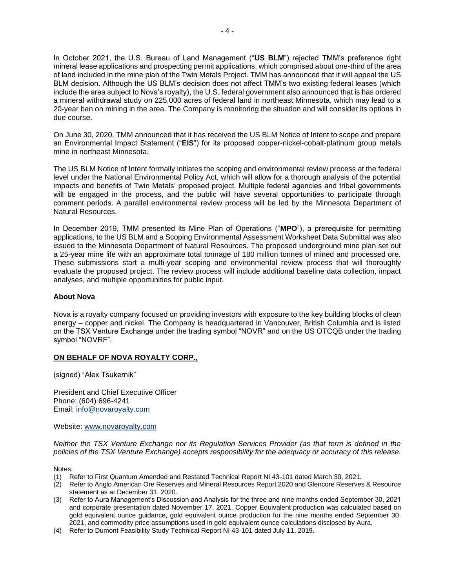In October 2021, the U.S. Bureau of Land Management ("**US BLM**") rejected TMM's preference right mineral lease applications and prospecting permit applications, which comprised about one-third of the area of land included in the mine plan of the Twin Metals Project. TMM has announced that it will appeal the US BLM decision. Although the US BLM's decision does not affect TMM's two existing federal leases (which include the area subject to Nova's royalty), the U.S. federal government also announced that is has ordered a mineral withdrawal study on 225,000 acres of federal land in northeast Minnesota, which may lead to a 20-year ban on mining in the area. The Company is monitoring the situation and will consider its options in due course.

On June 30, 2020, TMM announced that it has received the US BLM Notice of Intent to scope and prepare an Environmental Impact Statement ("**EIS**") for its proposed copper-nickel-cobalt-platinum group metals mine in northeast Minnesota.

The US BLM Notice of Intent formally initiates the scoping and environmental review process at the federal level under the National Environmental Policy Act, which will allow for a thorough analysis of the potential impacts and benefits of Twin Metals' proposed project. Multiple federal agencies and tribal governments will be engaged in the process, and the public will have several opportunities to participate through comment periods. A parallel environmental review process will be led by the Minnesota Department of Natural Resources.

In December 2019, TMM presented its Mine Plan of Operations ("**MPO**"), a prerequisite for permitting applications, to the US BLM and a Scoping Environmental Assessment Worksheet Data Submittal was also issued to the Minnesota Department of Natural Resources. The proposed underground mine plan set out a 25-year mine life with an approximate total tonnage of 180 million tonnes of mined and processed ore. These submissions start a multi-year scoping and environmental review process that will thoroughly evaluate the proposed project. The review process will include additional baseline data collection, impact analyses, and multiple opportunities for public input.

## **About Nova**

Nova is a royalty company focused on providing investors with exposure to the key building blocks of clean energy – copper and nickel. The Company is headquartered in Vancouver, British Columbia and is listed on the TSX Venture Exchange under the trading symbol "NOVR" and on the US OTCQB under the trading symbol "NOVRF".

## **ON BEHALF OF NOVA ROYALTY CORP.,**

(signed) "Alex Tsukernik"

President and Chief Executive Officer Phone: (604) 696-4241 Email: [info@novaroyalty.com](mailto:info@novaroyalty.com)

Website: [www.novaroyalty.com](http://www.novaroyalty.com/)

*Neither the TSX Venture Exchange nor its Regulation Services Provider (as that term is defined in the policies of the TSX Venture Exchange) accepts responsibility for the adequacy or accuracy of this release.*

Notes:

- (1) Refer to First Quantum Amended and Restated Technical Report NI 43-101 dated March 30, 2021.
- (2) Refer to Anglo American Ore Reserves and Mineral Resources Report 2020 and Glencore Reserves & Resource statement as at December 31, 2020.
- (3) Refer to Aura Management's Discussion and Analysis for the three and nine months ended September 30, 2021 and corporate presentation dated November 17, 2021. Copper Equivalent production was calculated based on gold equivalent ounce guidance, gold equivalent ounce production for the nine months ended September 30, 2021, and commodity price assumptions used in gold equivalent ounce calculations disclosed by Aura.
- (4) Refer to Dumont Feasibility Study Technical Report NI 43-101 dated July 11, 2019.